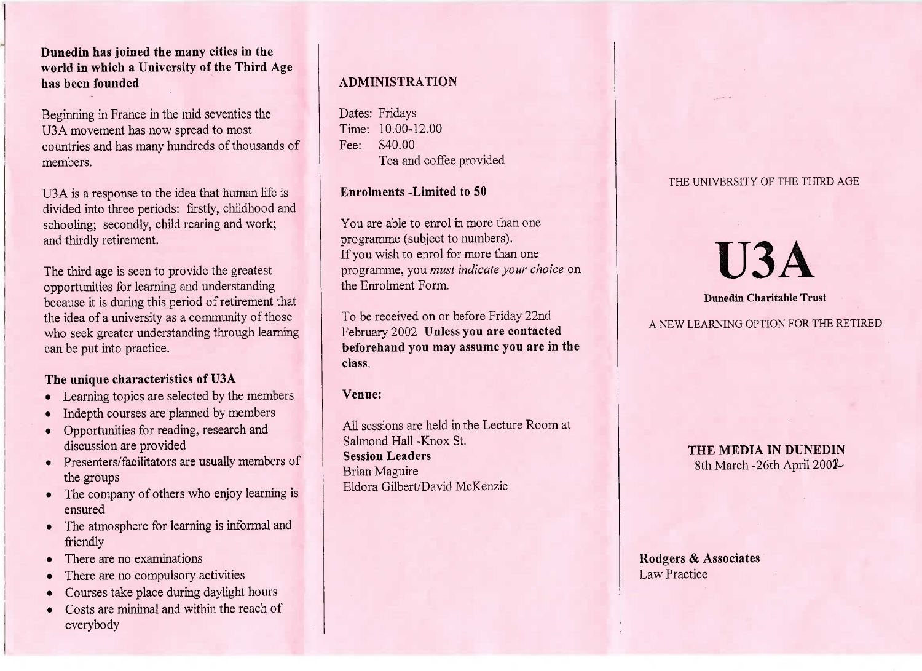**Dunedin has joined the many cities in the world in which a University of the Third Agehas been founded**

Beginning in France in the mid seventies theU3A movement has now spread to most countries and has many hundreds of thousands ofmembers.

U3 A is a response to the idea that human life is divided into three periods: firstly, childhood andschooling; secondly, child rearing and work;and thirdly retirement.

The third age is seen to provide the greatest opportunities for learning and understanding because it is during this period of retirement that the idea of a university as a community of those who seek greater understanding through learningcan be put into practice.

# **The unique characteristics of U3A**

- Learning topics are selected by the members
- Indepth courses are planned by members
- Opportunities for reading, research anddiscussion are provided
- Presenters/facilitators are usually members ofthe groups
- The company of others who enjoy learning isensured
- The atmosphere for learning is informal andfriendly
- There are no examinations
- There are no compulsory activities
- Courses take place during daylight hours
- Costs are minimal and within the reach ofeverybody

# **ADMINISTRATION**

Dates: Fridays Time: 10.00-12.00Fee: \$40.00l'ea and coffee provided

# **Enrolments -Limited to 50**

You are able to enrol in more than oneprogramme (subject to numbers). If you wish to enrol for more than one programme, you *must indicate your choice* onthe Enrolment Form.

To be received on or before Friday 22nd February 2002 **Unless you are contacted beforehand you may assume you are in theclass.**

**Venue:**

All sessions are held in the Lecture Room atSalmond Hall -Knox St.**Session Leaders**Brian MaguireEldora Gilbert/David McKenzie

### THE UNIVERSITY OF THE THIRD AGE

# **U3A**

#### **Dunedin Charitable Trust**

A NEW LEARNING OPTION FOR THE RETIRED

**THE MEDIA IN DUNEDIN** $\sin$  March -26th April 2002-

**Rodgers & Associates**Law Practice